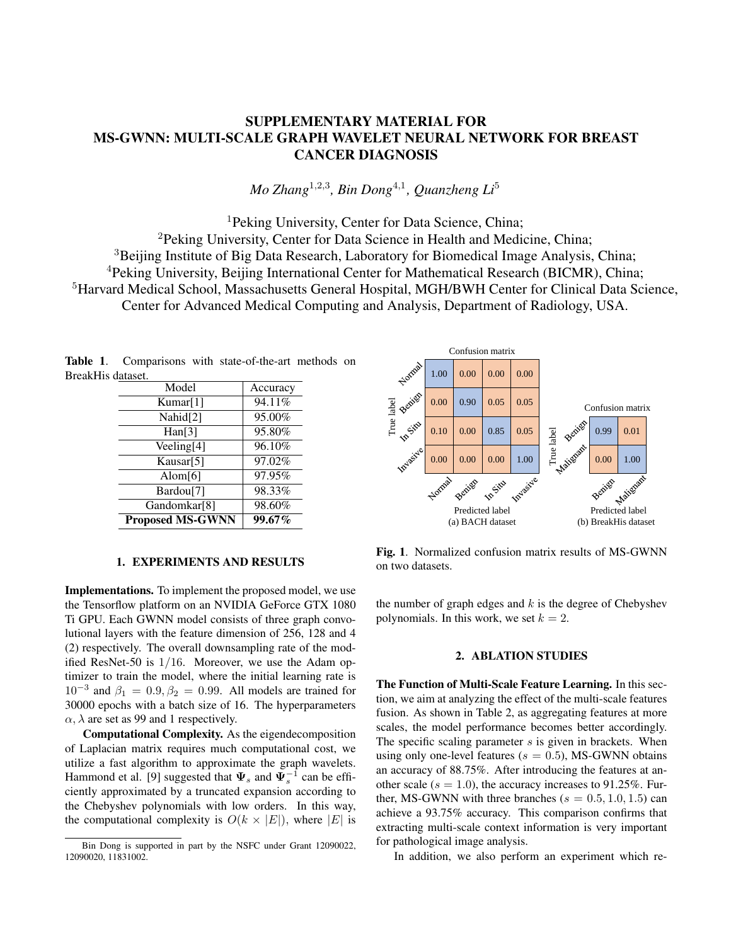## SUPPLEMENTARY MATERIAL FOR MS-GWNN: MULTI-SCALE GRAPH WAVELET NEURAL NETWORK FOR BREAST CANCER DIAGNOSIS

*Mo Zhang*<sup>1</sup>,2,<sup>3</sup> *, Bin Dong*<sup>4</sup>,<sup>1</sup> *, Quanzheng Li*<sup>5</sup>

<sup>1</sup>Peking University, Center for Data Science, China; <sup>2</sup>Peking University, Center for Data Science in Health and Medicine, China; <sup>3</sup>Beijing Institute of Big Data Research, Laboratory for Biomedical Image Analysis, China; <sup>4</sup>Peking University, Beijing International Center for Mathematical Research (BICMR), China; <sup>5</sup>Harvard Medical School, Massachusetts General Hospital, MGH/BWH Center for Clinical Data Science, Center for Advanced Medical Computing and Analysis, Department of Radiology, USA.

Table 1. Comparisons with state-of-the-art methods on BreakHis dataset.

| Model                    | Accuracy |
|--------------------------|----------|
| Kumar[1]                 | 94.11%   |
| Nahid[2]                 | 95.00%   |
| $\text{Han}[3]$          | 95.80%   |
| Veeling[4]               | 96.10%   |
| Kausar[5]                | 97.02%   |
| Alom $[6]$               | 97.95%   |
| Bardou <sup>[7]</sup>    | 98.33%   |
| Gandomkar <sup>[8]</sup> | 98.60%   |
| <b>Proposed MS-GWNN</b>  | 99.67%   |



## 1. EXPERIMENTS AND RESULTS

Implementations. To implement the proposed model, we use the Tensorflow platform on an NVIDIA GeForce GTX 1080 Ti GPU. Each GWNN model consists of three graph convolutional layers with the feature dimension of 256, 128 and 4 (2) respectively. The overall downsampling rate of the modified ResNet-50 is 1/16. Moreover, we use the Adam optimizer to train the model, where the initial learning rate is  $10^{-3}$  and  $\beta_1 = 0.9, \beta_2 = 0.99$ . All models are trained for 30000 epochs with a batch size of 16. The hyperparameters  $\alpha$ ,  $\lambda$  are set as 99 and 1 respectively.

Computational Complexity. As the eigendecomposition of Laplacian matrix requires much computational cost, we utilize a fast algorithm to approximate the graph wavelets. Hammond et al. [9] suggested that  $\Psi_s$  and  $\Psi_s^{-1}$  can be efficiently approximated by a truncated expansion according to the Chebyshev polynomials with low orders. In this way, the computational complexity is  $O(k \times |E|)$ , where  $|E|$  is

Fig. 1. Normalized confusion matrix results of MS-GWNN on two datasets.

the number of graph edges and  $k$  is the degree of Chebyshev polynomials. In this work, we set  $k = 2$ .

## 2. ABLATION STUDIES

The Function of Multi-Scale Feature Learning. In this section, we aim at analyzing the effect of the multi-scale features fusion. As shown in Table 2, as aggregating features at more scales, the model performance becomes better accordingly. The specific scaling parameter  $s$  is given in brackets. When using only one-level features ( $s = 0.5$ ), MS-GWNN obtains an accuracy of 88.75%. After introducing the features at another scale ( $s = 1.0$ ), the accuracy increases to 91.25%. Further, MS-GWNN with three branches ( $s = 0.5, 1.0, 1.5$ ) can achieve a 93.75% accuracy. This comparison confirms that extracting multi-scale context information is very important for pathological image analysis.

In addition, we also perform an experiment which re-

Bin Dong is supported in part by the NSFC under Grant 12090022, 12090020, 11831002.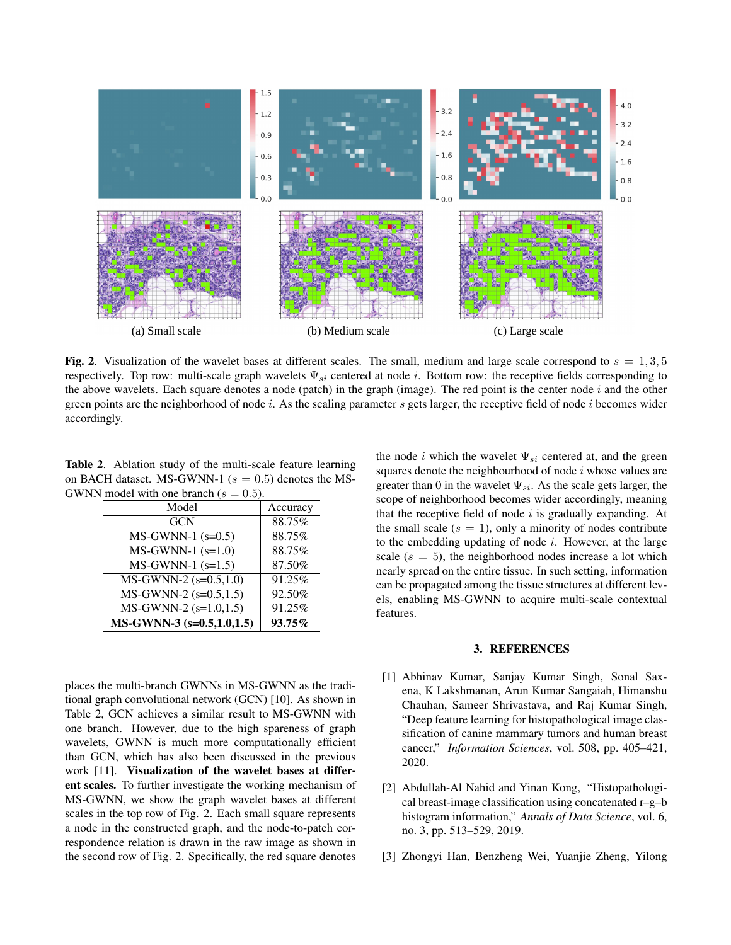

Fig. 2. Visualization of the wavelet bases at different scales. The small, medium and large scale correspond to  $s = 1,3,5$ respectively. Top row: multi-scale graph wavelets  $\Psi_{si}$  centered at node i. Bottom row: the receptive fields corresponding to the above wavelets. Each square denotes a node (patch) in the graph (image). The red point is the center node  $i$  and the other green points are the neighborhood of node  $i$ . As the scaling parameter  $s$  gets larger, the receptive field of node  $i$  becomes wider accordingly.

Table 2. Ablation study of the multi-scale feature learning on BACH dataset. MS-GWNN-1 ( $s = 0.5$ ) denotes the MS-GWNN model with one branch ( $s = 0.5$ ).

| Model                         | Accuracy |  |
|-------------------------------|----------|--|
| <b>GCN</b>                    | 88.75%   |  |
| $MS-GWNN-1$ (s=0.5)           | 88.75%   |  |
| $MS-GWNN-1$ (s=1.0)           | 88.75%   |  |
| $MS-GWNN-1$ (s=1.5)           | 87.50%   |  |
| $MS-GWNN-2$ (s=0.5,1.0)       | 91.25%   |  |
| $MS-GWNN-2$ (s=0.5,1.5)       | 92.50%   |  |
| $MS-GWNN-2$ (s=1.0,1.5)       | 91.25%   |  |
| MS-GWNN-3 $(s=0.5, 1.0, 1.5)$ | 93.75%   |  |
|                               |          |  |

places the multi-branch GWNNs in MS-GWNN as the traditional graph convolutional network (GCN) [10]. As shown in Table 2, GCN achieves a similar result to MS-GWNN with one branch. However, due to the high spareness of graph wavelets, GWNN is much more computationally efficient than GCN, which has also been discussed in the previous work [11]. Visualization of the wavelet bases at different scales. To further investigate the working mechanism of MS-GWNN, we show the graph wavelet bases at different scales in the top row of Fig. 2. Each small square represents a node in the constructed graph, and the node-to-patch correspondence relation is drawn in the raw image as shown in the second row of Fig. 2. Specifically, the red square denotes

the node *i* which the wavelet  $\Psi_{si}$  centered at, and the green squares denote the neighbourhood of node  $i$  whose values are greater than 0 in the wavelet  $\Psi_{si}$ . As the scale gets larger, the scope of neighborhood becomes wider accordingly, meaning that the receptive field of node  $i$  is gradually expanding. At the small scale  $(s = 1)$ , only a minority of nodes contribute to the embedding updating of node  $i$ . However, at the large scale  $(s = 5)$ , the neighborhood nodes increase a lot which nearly spread on the entire tissue. In such setting, information can be propagated among the tissue structures at different levels, enabling MS-GWNN to acquire multi-scale contextual features.

## 3. REFERENCES

- [1] Abhinav Kumar, Sanjay Kumar Singh, Sonal Saxena, K Lakshmanan, Arun Kumar Sangaiah, Himanshu Chauhan, Sameer Shrivastava, and Raj Kumar Singh, "Deep feature learning for histopathological image classification of canine mammary tumors and human breast cancer," *Information Sciences*, vol. 508, pp. 405–421, 2020.
- [2] Abdullah-Al Nahid and Yinan Kong, "Histopathological breast-image classification using concatenated r–g–b histogram information," *Annals of Data Science*, vol. 6, no. 3, pp. 513–529, 2019.
- [3] Zhongyi Han, Benzheng Wei, Yuanjie Zheng, Yilong